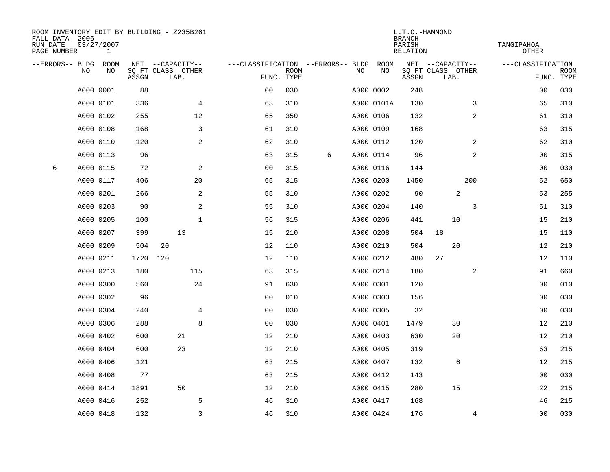| ROOM INVENTORY EDIT BY BUILDING - Z235B261<br>FALL DATA 2006<br>03/27/2007<br>RUN DATE<br>PAGE NUMBER<br>1 |                |      |       |     |                           | L.T.C.-HAMMOND<br><b>BRANCH</b><br>PARISH<br>RELATION |                           |   |           |             |       | TANGIPAHOA<br><b>OTHER</b> |                |                   |                |                           |
|------------------------------------------------------------------------------------------------------------|----------------|------|-------|-----|---------------------------|-------------------------------------------------------|---------------------------|---|-----------|-------------|-------|----------------------------|----------------|-------------------|----------------|---------------------------|
| --ERRORS-- BLDG                                                                                            |                | ROOM |       |     | NET --CAPACITY--          | ---CLASSIFICATION --ERRORS-- BLDG                     |                           |   |           | <b>ROOM</b> |       | NET --CAPACITY--           |                | ---CLASSIFICATION |                |                           |
|                                                                                                            | N <sub>O</sub> | NO.  | ASSGN |     | SO FT CLASS OTHER<br>LAB. |                                                       | <b>ROOM</b><br>FUNC. TYPE |   | NO.       | NO          | ASSGN | SQ FT CLASS OTHER<br>LAB.  |                |                   |                | <b>ROOM</b><br>FUNC. TYPE |
|                                                                                                            | A000 0001      |      | 88    |     |                           | 0 <sub>0</sub>                                        | 030                       |   | A000 0002 |             | 248   |                            |                |                   | 00             | 030                       |
|                                                                                                            | A000 0101      |      | 336   |     | $\overline{4}$            | 63                                                    | 310                       |   |           | A000 0101A  | 130   |                            | 3              |                   | 65             | 310                       |
|                                                                                                            | A000 0102      |      | 255   |     | 12                        | 65                                                    | 350                       |   | A000 0106 |             | 132   |                            | $\overline{2}$ |                   | 61             | 310                       |
|                                                                                                            | A000 0108      |      | 168   |     | 3                         | 61                                                    | 310                       |   | A000 0109 |             | 168   |                            |                |                   | 63             | 315                       |
|                                                                                                            | A000 0110      |      | 120   |     | 2                         | 62                                                    | 310                       |   | A000 0112 |             | 120   |                            | 2              |                   | 62             | 310                       |
|                                                                                                            | A000 0113      |      | 96    |     |                           | 63                                                    | 315                       | 6 | A000 0114 |             | 96    |                            | 2              |                   | 00             | 315                       |
| 6                                                                                                          | A000 0115      |      | 72    |     | 2                         | 00                                                    | 315                       |   | A000 0116 |             | 144   |                            |                |                   | 00             | 030                       |
|                                                                                                            | A000 0117      |      | 406   |     | 20                        | 65                                                    | 315                       |   | A000 0200 |             | 1450  |                            | 200            |                   | 52             | 650                       |
|                                                                                                            | A000 0201      |      | 266   |     | 2                         | 55                                                    | 310                       |   | A000 0202 |             | 90    | 2                          |                |                   | 53             | 255                       |
|                                                                                                            | A000 0203      |      | 90    |     | $\mathbf{2}$              | 55                                                    | 310                       |   | A000 0204 |             | 140   |                            | 3              |                   | 51             | 310                       |
|                                                                                                            | A000 0205      |      | 100   |     | $\mathbf 1$               | 56                                                    | 315                       |   | A000 0206 |             | 441   | 10                         |                |                   | 15             | 210                       |
|                                                                                                            | A000 0207      |      | 399   |     | 13                        | 15                                                    | 210                       |   | A000 0208 |             | 504   | 18                         |                |                   | 15             | 110                       |
|                                                                                                            | A000 0209      |      | 504   | 20  |                           | 12                                                    | 110                       |   | A000 0210 |             | 504   | 20                         |                |                   | 12             | 210                       |
|                                                                                                            | A000 0211      |      | 1720  | 120 |                           | 12                                                    | 110                       |   | A000 0212 |             | 480   | 27                         |                |                   | 12             | 110                       |
|                                                                                                            | A000 0213      |      | 180   |     | 115                       | 63                                                    | 315                       |   | A000 0214 |             | 180   |                            | 2              |                   | 91             | 660                       |
|                                                                                                            | A000 0300      |      | 560   |     | 24                        | 91                                                    | 630                       |   | A000 0301 |             | 120   |                            |                |                   | 00             | 010                       |
|                                                                                                            | A000 0302      |      | 96    |     |                           | 0 <sub>0</sub>                                        | 010                       |   | A000 0303 |             | 156   |                            |                |                   | 00             | 030                       |
|                                                                                                            | A000 0304      |      | 240   |     | 4                         | 0 <sub>0</sub>                                        | 030                       |   | A000 0305 |             | 32    |                            |                |                   | 00             | 030                       |
|                                                                                                            | A000 0306      |      | 288   |     | 8                         | 0 <sub>0</sub>                                        | 030                       |   | A000 0401 |             | 1479  | 30                         |                |                   | 12             | 210                       |
|                                                                                                            | A000 0402      |      | 600   |     | 21                        | 12                                                    | 210                       |   | A000 0403 |             | 630   | 20                         |                |                   | 12             | 210                       |
|                                                                                                            | A000 0404      |      | 600   |     | 23                        | 12                                                    | 210                       |   | A000 0405 |             | 319   |                            |                |                   | 63             | 215                       |
|                                                                                                            | A000 0406      |      | 121   |     |                           | 63                                                    | 215                       |   | A000 0407 |             | 132   | 6                          |                |                   | 12             | 215                       |
|                                                                                                            | A000 0408      |      | 77    |     |                           | 63                                                    | 215                       |   | A000 0412 |             | 143   |                            |                |                   | 00             | 030                       |
|                                                                                                            | A000 0414      |      | 1891  |     | 50                        | 12                                                    | 210                       |   | A000 0415 |             | 280   | 15                         |                |                   | 22             | 215                       |
|                                                                                                            | A000 0416      |      | 252   |     | 5                         | 46                                                    | 310                       |   | A000 0417 |             | 168   |                            |                |                   | 46             | 215                       |
|                                                                                                            | A000 0418      |      | 132   |     | 3                         | 46                                                    | 310                       |   | A000 0424 |             | 176   |                            | 4              |                   | 0 <sub>0</sub> | 030                       |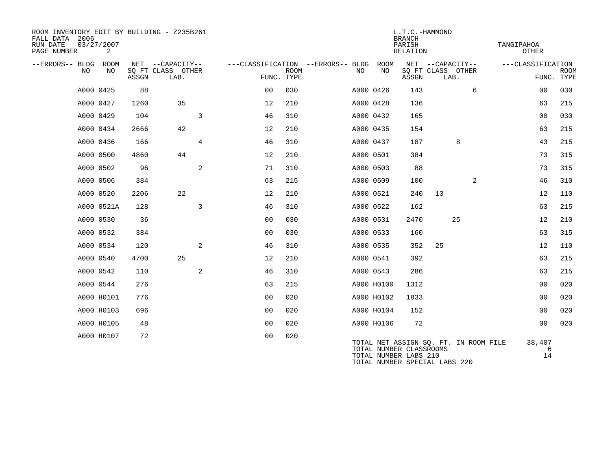| ROOM INVENTORY EDIT BY BUILDING - Z235B261<br>FALL DATA 2006<br>RUN DATE<br>PAGE NUMBER | 03/27/2007<br>2 |       |                                               |                |             |                                          |  | L.T.C.-HAMMOND<br><b>BRANCH</b><br>PARISH<br><b>RELATION</b> |                                                                                                                            |                  |      |   | TANGIPAHOA<br><b>OTHER</b> |                   |             |
|-----------------------------------------------------------------------------------------|-----------------|-------|-----------------------------------------------|----------------|-------------|------------------------------------------|--|--------------------------------------------------------------|----------------------------------------------------------------------------------------------------------------------------|------------------|------|---|----------------------------|-------------------|-------------|
| --ERRORS-- BLDG<br>NO                                                                   | ROOM<br>NO      | ASSGN | NET --CAPACITY--<br>SQ FT CLASS OTHER<br>LAB. | FUNC. TYPE     | <b>ROOM</b> | ---CLASSIFICATION --ERRORS-- BLDG<br>NO. |  | ROOM<br>NO                                                   | SQ FT CLASS OTHER<br>ASSGN                                                                                                 | NET --CAPACITY-- | LAB. |   | ---CLASSIFICATION          | FUNC. TYPE        | <b>ROOM</b> |
|                                                                                         | A000 0425       | 88    |                                               | 0 <sub>0</sub> | 030         |                                          |  | A000 0426                                                    | 143                                                                                                                        |                  |      | 6 |                            | 00                | 030         |
|                                                                                         | A000 0427       | 1260  | 35                                            | 12             | 210         |                                          |  | A000 0428                                                    | 136                                                                                                                        |                  |      |   |                            | 63                | 215         |
| A000 0429                                                                               |                 | 104   | 3                                             | 46             | 310         |                                          |  | A000 0432                                                    | 165                                                                                                                        |                  |      |   |                            | 0 <sub>0</sub>    | 030         |
|                                                                                         | A000 0434       | 2666  | 42                                            | 12             | 210         |                                          |  | A000 0435                                                    | 154                                                                                                                        |                  |      |   |                            | 63                | 215         |
|                                                                                         | A000 0436       | 166   | $\overline{4}$                                | 46             | 310         |                                          |  | A000 0437                                                    | 187                                                                                                                        |                  | 8    |   |                            | 43                | 215         |
| A000 0500                                                                               |                 | 4860  | 44                                            | 12             | 210         |                                          |  | A000 0501                                                    | 384                                                                                                                        |                  |      |   |                            | 73                | 315         |
| A000 0502                                                                               |                 | 96    | 2                                             | 71             | 310         |                                          |  | A000 0503                                                    | 88                                                                                                                         |                  |      |   |                            | 73                | 315         |
|                                                                                         | A000 0506       | 384   |                                               | 63             | 215         |                                          |  | A000 0509                                                    | 100                                                                                                                        |                  |      | 2 |                            | 46                | 310         |
| A000 0520                                                                               |                 | 2206  | 22                                            | 12             | 210         |                                          |  | A000 0521                                                    | 240                                                                                                                        | 13               |      |   |                            | 12                | 110         |
|                                                                                         | A000 0521A      | 128   | 3                                             | 46             | 310         |                                          |  | A000 0522                                                    | 162                                                                                                                        |                  |      |   |                            | 63                | 215         |
| A000 0530                                                                               |                 | 36    |                                               | 0 <sub>0</sub> | 030         |                                          |  | A000 0531                                                    | 2470                                                                                                                       |                  | 25   |   |                            | 12                | 210         |
| A000 0532                                                                               |                 | 384   |                                               | 0 <sub>0</sub> | 030         |                                          |  | A000 0533                                                    | 160                                                                                                                        |                  |      |   |                            | 63                | 315         |
|                                                                                         | A000 0534       | 120   | 2                                             | 46             | 310         |                                          |  | A000 0535                                                    | 352                                                                                                                        | 25               |      |   |                            | 12                | 110         |
|                                                                                         | A000 0540       | 4700  | 25                                            | 12             | 210         |                                          |  | A000 0541                                                    | 392                                                                                                                        |                  |      |   |                            | 63                | 215         |
| A000 0542                                                                               |                 | 110   | 2                                             | 46             | 310         |                                          |  | A000 0543                                                    | 286                                                                                                                        |                  |      |   |                            | 63                | 215         |
|                                                                                         | A000 0544       | 276   |                                               | 63             | 215         |                                          |  | A000 H0100                                                   | 1312                                                                                                                       |                  |      |   |                            | 00                | 020         |
|                                                                                         | A000 H0101      | 776   |                                               | 0 <sub>0</sub> | 020         |                                          |  | A000 H0102                                                   | 1833                                                                                                                       |                  |      |   |                            | 0 <sub>0</sub>    | 020         |
|                                                                                         | A000 H0103      | 696   |                                               | 0 <sub>0</sub> | 020         |                                          |  | A000 H0104                                                   | 152                                                                                                                        |                  |      |   |                            | 0 <sub>0</sub>    | 020         |
|                                                                                         | A000 H0105      | 48    |                                               | 0 <sub>0</sub> | 020         |                                          |  | A000 H0106                                                   | 72                                                                                                                         |                  |      |   |                            | 0 <sub>0</sub>    | 020         |
|                                                                                         | A000 H0107      | 72    |                                               | 0 <sub>0</sub> | 020         |                                          |  |                                                              | TOTAL NET ASSIGN SQ. FT. IN ROOM FILE<br>TOTAL NUMBER CLASSROOMS<br>TOTAL NUMBER LABS 210<br>TOTAL NUMBER SPECIAL LABS 220 |                  |      |   |                            | 38,407<br>6<br>14 |             |